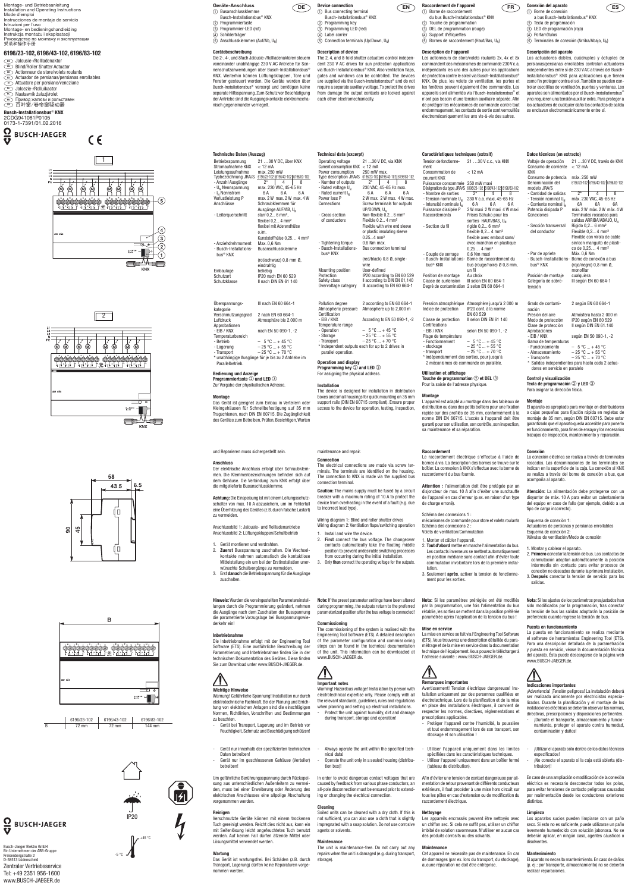#### Geräte-Anschluss **COE**  Busanschlussklemme Busch-Installationsbus® KNX

- 2 Programmiertaste Programmier-LED (rot)
- Schilderträger Anschlussklemmen (Auf/Ab, UN)

### **Gerätebeschreibung**

Die 2-, 4-, und 8fach Jalousie-/Rollladenaktoren steuern voneinander unabhängige 230 V AC Antriebe für Sonnenschutzanwendungen über Busch-Installationsbus® KNX. Weiterhin können Lüftungsklappen, Tore und Fenster gesteuert werden. Die Geräte werden über Busch-Installationsbus® versorgt und benötigen keine separate Hilfsspannung. Zum Schutz vor Beschädigung der Antriebe sind die Ausgangskontakte elektromechanisch gegeneinander verriegelt.

# **Device connection**

- $(1)$  Bus connecting terminal Busch-Installationsbus® KNX
- 2 Programming key **3** Programming LED (red)
- (4) Label carrier
- $\widetilde{\textcircled{s}}$  Connection terminals (Up/Down, U<sub>N</sub>)

**Technische Daten (Auszug)**

Überspannungskategorie III nach EN 60 664-1 Verschmutzungsgrad 2 nach EN 60 664-1 Atmosphäre bis 2.000 m Approbationen - EIB / KNX nach EN 50 090-1, -2 Temperaturbereich<br>- Betrieb  $5 °C ... + 45 °C$ - Lagerung  $-25\degree \text{C} ... + 55\degree \text{C}$ - Transport  $-25\degree C ... + 70\degree C$ \* unabhängige Ausgänge für je bis zu 2 Antriebe im **Parallelbetrieb** 

**Programmiertaste 2 und LED 3** Zur Vergabe der physikalischen Adresse.

bus® KNX

Einbaulage<br>Schutzart

Die Inbetriebnahme erfolgt mit der Engineering Tool Software (ETS). Eine ausführliche Beschreibung der Parametrierung und Inbetriebnahme finden Sie in der technischen Dokumentation des Gerätes. Diese finden Sie zum Download unter www.BUSCH-JAEGER.de.



#### **Bedienung und Anzeige**

#### **Montage**

Das Gerät ist geeignet zum Einbau in Verteilern oder Kleingehäusen für Schnellbefestigung auf 35 mm Tragschienen, nach DIN EN 60715. Die Zugänglichkeit des Gerätes zum Betreiben, Prüfen, Besichtigen, Warten

und Reparieren muss sichergestellt sein.

#### **Anschluss**

Der elektrische Anschluss erfolgt über Schraubklemmen. Die Klemmenbezeichnungen befinden sich auf dem Gehäuse. Die Verbindung zum KNX erfolgt über die mitgelieferte Busanschlussklemme.

**Achtung:** Die Einspeisung ist mit einem Leitungsschutzschalter von max. 10 A abzusichern, um im Fehlerfall eine Überhitzung des Gerätes (z.B. durch falsche Lastart) zu vermeiden.

Anschlussbild 1: Jalousie- und Rollladenantriebe Anschlussbild 2: Lüftungsklappen/Schaltbetrieb

- 1. Gerät montieren und verdrahten.
- 2. **Zuerst** Busspannung zuschalten. Die Wechselkontakte nehmen automatisch die kontaktlose Mittelstellung ein um bei der Erstinstallation unerwünschte Schaltvorgänge zu vermeiden.
- 3. Erst **danach** die Betriebsspannung für die Ausgänge zuschalten.

**Hinweis:** Wurden die voreingestellten Parametereinstellungen durch die Programmierung geändert, nehmen die Ausgänge nach dem Zuschalten der Busspannung die parametrierte Vorzugslage bei Busspannungswiederkehr ein!

- Number of outputs  $2^*$  | 4 | 8 - Rated voltage  $U_N$  230 VAC, 45-65 Hz max. - Rated current  $I_N$  6 A 6 A 6 A<br>Power loss P 2 W max. 2 W max. 4 W m Power loss P 2 W max. 2 W max. 4 W max.<br>
Connections Screw terminals for outputs Screw terminals for outputs  $UP/DOWN, U_N$ - Cross section of conductors Non-flexible 0.2... 6 mm² Flexible  $0.2...4$  mm<sup>2</sup> Flexible with wire end sleeve or plastic insulating sleeve 0.25...4 mm<sup>2</sup><br>0.6 Nm max - Tightening torque - Busch-Installationsbus® KNX Bus connection terminal (red/black) 0.8 Ø, singlewire<br>User-defined Mounting position<br>Protection IP20 according to EN 60 529 Safety class II according to DIN EN 61,140 Overvoltage category III according to EN 60 664-1

#### **Inbetriebnahme**

```
Pollution degree 2 according to EN 60 664-1<br>Atmospheric pressure Atmosphere up to 2.000 m
Atmospheric pressure
Certification
- EIB / KNX According to EN 50 090-1, -2
Temperature range<br>- Operation
- Operation – 5 °C ... + 45 °C
- Storage – 25 °C ... + 55 °C<br>
- Transport – 25 °C ... + 70 °C
                            - 25 °C ... + 70 °C* Independent outputs each for up to 2 drives in 
 parallel operation.
```
#### **Operation and display Programming key**  $\oslash$  **and LED**  $\oslash$

#### **Wichtige Hinweise**

Warnung! Gefährliche Spannung! Installation nur durch elektrotechnische Fachkraft. Bei der Planung und Errichtung von elektrischen Anlagen sind die einschlägigen Normen, Richtlinien, Vorschriften und Bestimmungen zu beachten.

- Gerät bei Transport, Lagerung und im Betrieb vor Feuchtigkeit, Schmutz und Beschädigung schützen!
- Gerät nur innerhalb der spezifizierten technischen Daten betreiben!
- Gerät nur im geschlossenen Gehäuse (Verteiler) betreiben!

Um gefährliche Berührungsspannung durch Rückspeisung aus unterschiedlichen Außenleitern zu vermeiden, muss bei einer Erweiterung oder Änderung des elektrischen Anschlusses eine allpolige Abschaltung vorgenommen werden.

#### **Reinigen**

Verschmutzte Geräte können mit einem trockenen Tuch gereinigt werden. Reicht dies nicht aus, kann ein mit Seifenlösung leicht angefeuchtetes Tuch benutzt werden. Auf keinen Fall dürfen ätzende Mittel oder Lösungsmittel verwendet werden.

#### **Wartung**

Das Gerät ist wartungsfrei. Bei Schäden (z.B. durch Transport, Lagerung) dürfen keine Reparaturen vorgenommen werden.

- du bus Busch-Installationsbus® KNX
- 
- 2 Touche de programmation
- c DEL de programmation (rouge)
- 
- d Support d'étiquettes
- $\circledS$  Bornes de raccordement (Haut/Bas, U<sub>N</sub>)

#### **Description of device**

The 2, 4, and 8-fold shutter actuators control independent 230 V AC drives for sun protection applications via Busch-Installationsbus® KNX. Also ventilation flaps, gates and windows can be controlled. The devices are supplied via the Busch-Installationsbus® and do not require a separate auxiliary voltage. To protect the drives from damage the output contacts are locked against each other electromechanically.

**Technical data (excerpt)** 

Pression atmosphérique Atmosphère jusqu'à 2 000 m<br>Indice de protection P20 conf. à la norme IP20 conf. à la norme EN 60 529 Classe de protection II selon DIN EN 61 140 Certifications<br>- EIB / KNX selon EN 50 090-1, -2 Plage de température<br>- Fonctionnement  $-$  Fonctionnement  $-$  5 °C ... + 45 °C<br>- stockage  $-$  25 °C ... + 55 °C  $-25$  °C  $... + 55$  °C - transport –  $-25 °C ... + 70 °C$ <br>\* indépendamment des sorties, pour jusqu'à mment des sorties, pour jusqu'à 2 mécanismes de commande en parallèle.

**Touche de programmation**  $\mathcal{D}$  **et DEL**  $\mathcal{D}$ Pour la saisie de l'adresse physique.

Schéma des connexions 2 Volets de ventilation/Commutation

## For assigning the physical address.

**Installation** 

The device is designed for installation in distribution boxes and small housings for quick mounting on 35 mm support rails (DIN EN 60715 compliant). Ensure proper access to the device for operation, testing, inspection,

maintenance and repair. **Connection** The electrical connections are made via screw terminals. The terminals are identified on the housing. The connection to KNX is made via the supplied bus

connection terminal.

**Caution:** The mains supply must be fused by a circuit

breaker with a maximum rating of 10 A to protect the device from overheating in the event of a fault (e.g. due to incorrect load type).



Wiring diagram 1: Blind and roller shutter drives

Wiring diagram 2: Ventilation flaps/switching operation

- 
- a bus Busch-Installationsbus® KNX
- b Tecla de programación
- $\overline{3}$  LED de programación (rojo)
- d Portarrótulos
	- $\overline{6}$  Terminales de conexión (Arriba/Abajo, U<sub>N</sub>)

1. Install and wire the device. 2. **First** connect the bus voltage. The changeover

contacts automatically take the floating middle

position to prevent undesirable switching processes from occurring during the initial installation.

**Note:** If the preset parameter settings have been altered during programming, the outputs return to the preferred parameterized position after the bus voltage is connected!

#### **Commissioning**

The commissioning of the system is realised with the Engineering Tool Software (ETS). A detailed description of the parameter configuration and commissioning steps can be found in the technical documentation of the unit. This information can be downloaded at www.BUSCH-JAEGER.de.



#### **Important notes**

Warning! Hazardous voltage! Installation by person with electrotechnical expertise only. Please comply with all the relevant standards, guidelines, rules and regulations when planning and setting up electrical installations. Protect the unit against humidity, dirt and damage during transport, storage and operation!

- Funcionamiento  $-5^\circ \text{C}$  ... + 45 °C<br>- Almacenamiento  $-25^\circ \text{C}$  ... + 55 °C - Almacenamiento  $-25 \degree C ... + 55 \degree C$ - Transporte  $-25 \degree C ... + 70 \degree C$ \* Salidas independientes para hasta cada 2 actua-

nación<br>Presión del aire

Aprobaciones<br>- EIB / KNX

Gama de temperaturas<br>- Funcionamiento

**Tecla de programación**  $\mathcal{D}$  **y LED**  $\mathcal{D}$ Para asignar la dirección física.

- Always operate the unit within the specified technical data! - Operate the unit only in a sealed housing (distribu-

tion box)!

In order to avoid dangerous contact voltages that are caused by feedback from various phase conductors, an all-pole disconnection must be ensured prior to extending or changing the electrical connection.

#### **Cleaning**

Soiled units can be cleaned with a dry cloth. If this is not sufficient, you can also use a cloth that is slightly impregnated with a soap solution. Do not use corrosive agents or solvents.

#### **Maintenance**

The unit is maintenance-free. Do not carry out any repairs when the unit is damaged (e.g. during transport, storage).

**FR Raccordement de l'appareil** a Borne de raccordement

#### **Description de l'appareil**

Les actionneurs de store/volets roulants 2x, 4x et 8x commandent des mécanismes de commande 230 V c.a. indépendants les uns des autres pour les applications de protection contre le soleil via Busch-Installationsbus® KNX. De plus, les volets de ventilation, les portes et les fenêtres peuvent également être commandés. Les appareils sont alimentés via l'Busch-Installationsbus® et n'ont pas besoin d'une tension auxiliaire séparée. Afin de protéger les mécanismes de commande contre tout endommagement, les contacts de sortie sont verrouillés électromécaniquement les uns vis-à-vis des autres.

- 3. Only **then** connect the operating voltage for the outputs.
	- - ment pour les sorties.

ment

#### **Utilisation et affichage**

#### **Montage**

L'appareil est adapté au montage dans des tableaux de distribution ou dans des petits boîtiers pour une fixation rapide sur des profilés de 35 mm, conformément à la norme DIN EN 60715. L'accès à l'appareil doit être garanti pour son utilisation, son contrôle, son inspection, sa maintenance et sa réparation.

#### **Raccordement**

Le raccordement électrique s'effectue à l'aide de bornes à vis. La description des bornes se trouve sur le boîtier. La connexion à KNX s'effectue avec la borne de raccordement du bus fournie.

**Attention :** l'alimentation doit être protégée par un disjoncteur de max. 10 A afin d'éviter une surchauffe de l'appareil en cas d'erreur (p.ex. en raison d'un type de charge erroné).

Schéma des connexions 1 : mécanismes de commande pour store et volets roulants

1. Monter et câbler l'appareil.

- 2. **Tout d'abord** mettre en marche l'alimentation du bus. Les contacts inverseurs se mettent automatiquement en position médiane sans contact afin d'éviter toute commutation involontaire lors de la première instal-
- 3. Seulement **après**, activer la tension de fonctionne-

lation.

**Nota:** Si les paramètres préréglés ont été modifiés par la programmation, une fois l'alimentation du bus rétablie, les sorties se mettent dans la position préférée paramétrée après l'application de la tension du bus !

#### **Mise en service**

La mise en service se fait via l'Engineering Tool Software (ETS). Vous trouverez une description détaillée du paramétrage et de la mise en service dans la documentation technique de l'équipement. Vous pouvez le télécharger à l'adresse suivante : www.BUSCH-JAEGER.de.



**Caractéristiques techniques (extrait)**  Tension de fonctionne-21 …30 V c.c., via KNX Consommation de courant KNX  $<$  12 mA Puissance consommée 250 mW maxi Désignation du type JRA/S 6196/23-102 6196/43-102 6196/83-102 - Nombre de sorties - Tension nominale  $U_N$  230 V c.a. maxi, 45-65 Hz<br>- Intensité nominale  $I_N$  6 A 6 A 6 A - Intensité nominale  $I_N$ <br>Puissance dissipée P Puissance dissipée P<sup>"</sup> 2 W maxi 2 W maxi 4 W maxi<br>Baccordements Prises Schuko pour les Prises Schuko pour les sorties HAUT/BAS, U<sub>N</sub> - Section du fil rigide 0.2... 6 mm<sup>2</sup> flexible 0.2... 4 mm<sup>2</sup> flexible avec embout sans/ avec manchon en plastique 0,25... 4 mm<sup>2</sup><br>0,6 Nm maxi - Couple de serrage - Busch-Installationsbus® KNX Borne de raccordement du bus (rouge/noire) Ø 0,8 mm, un fil<br>Au choix Position de montage Au choix<br>Classe de surtension III selon EN 60 664-1 Classe de surtension Degré de contamination 2 selon EN 60 664-1 **Datos técnicos (en extracto)**  Voltaje de operación 21 …30 V DC, través de KNX Consumo de corriente KNX Consumo de potencia máx. 250 mW Denominación del modelo JRA/S - Cantidad de salidas  $\overline{\qquad \qquad 2^* \qquad \qquad 4}$ - Tensión nominal U<sub>N</sub> máx. 230 VAC, 45-65 Hz<br>- Corriente nominal I<sub>N</sub> 6A 6A 6A - Corriente nominal  $I_h$ <br>Potencia disipada P Potencia disipada P máx. 2 W máx. 2 W máx. 4 W<br>Conexiones Terminales roscados para - Sección transversal del conductor - Par de apriete - Busch-Installations-Borne de conexión a bus bus® KNX Posición de montaje Categoría de sobretensión Grado de contami-

#### **Remarques importantes**

Avertissement! Tension électrique dangereuse! Installation uniquement par des personnes qualifiées en électrotechnique. Lors de la planification et de la mise en place des installations électriques, il convient de respecter les normes, directives, réglementations et prescriptions applicables.

- Protéger l'appareil contre l'humidité, la poussière et tout endommagement lors de son transport, son stockage et son utilisation !
- Utiliser l'appareil uniquement dans les limites spécifiées dans les caractéristiques techniques.
- Utiliser l'appareil uniquement dans un boîtier fermé (tableau de distribution).

Afin d'éviter une tension de contact dangereuse par alimentation de retour provenant de différents conducteurs extérieurs, il faut procéder à une mise hors circuit sur tous les pôles en cas d'extension ou de modification du raccordement électrique.

#### **Nettoyage**

Les appareils encrassés peuvent être nettoyés avec un chiffon sec. Si cela ne suffit pas, utiliser un chiffon imbibé de solution savonneuse. N'utiliser en aucun cas des produits corrosifs ou des solvants.

#### **Maintenance**

Cet appareil ne nécessite pas de maintenance. En cas de dommages (par ex. lors du transport, du stockage), aucune réparation ne doit être entreprise.

**ES Conexión del aparato** a Borne de conexión

#### **Descripción del aparato**

Los actuadores dobles, cuádruples y óctuples de persianas/persianas enrollables controlan actuadores independientes entre sí de 230 V AC a través del Busch-Installationsbus® KNX para aplicaciones que tienen como fin proteger contra el sol. También se pueden controlar escotillas de ventilación, puertas y ventanas. Los aparatos son alimentados por el Busch-Installationsbus® y no requieren una tensión auxiliar extra. Para proteger a los actuadores de cualquier daño los contactos de salida se enclavan electromecánicamente entre sí.

 $<$  12 mA

6196/23-102 6196/43-102 6196/83-102

Terminales roscados para salidas ARRIBA/ABAJO, U<sub>N</sub>

Rígido 0,2... 6 mm² Flexible 0,2... 4 mm² Flexible con virola de cable sin/con manguito de plástico de 0,25… 4 mm²

(rojo/negro) 0,8 mm Ø,

III según EN 60 664-1

2 según EN 60 664-1

IP20 según EN 60 529

según EN 50 090-1, -2

monofilar<br>cualquiera

Presión del aire <br>
Modo de protección IP20 según EN 60 529

Clase de protección II según DIN EN 61.140

dores en servicio en paralelo

**Control y visualización**

**Montaje** 

El aparato es apropiado para montaje en distribuidores o cajas pequeñas para fijación rápida en regletas de montaje de 35 mm, según DIN EN 60715. Debe estar garantizado que el aparato queda accesible para ponerlo en funcionamiento, para fines de ensayo y los necesarios trabajos de inspección, mantenimiento y reparación.

**Conexión** 

La conexión eléctrica se realiza a través de terminales roscados. Las denominaciones de los terminales se indican en la superficie de la caja. La conexión al KNX se realiza a través del borne de conexión a bus, que

acompaña al aparato.

**Atención:** La alimentación debe protegerse con un disyuntor de máx. 10 A para evitar un calentamiento del equipo en caso de fallo (por ejemplo, debido a un

tipo de carga incorrecto). Esquema de conexión 1:

Actuadores de persianas y persianas enrollables

Esquema de conexión 2:

Válvulas de ventilación/Modo de conexión

#### Betriebsspannung 21 ...30 V DC, über KNX<br>Stromaufnahme KNX < 12 mA Stromaufnahme KNX < 12 mA<br>Leistungsaufnahme max. 250 mW Leistungsaufnahme Typbezeichnung JRA/S 6196/23-102 6196/43-102 6196/83-102 - Anzahl Ausgänge  $2^*$  | 4 | 8  $-U_N$  Nennspannung max. 230 VAC, 45-65 Hz  $-I_N$  Nennstrom 6A 6A 6A<br>Verlustleistung P max. 2 W max. 2 W max. 4 Verlustleistung P max. 2 W max. 2 W max. 4 W<br>Anschlüsse Schraubklemmen für Schraubklemmen für Ausgänge AUF/AB,  $U_N$ <br>starr 0.2... 6 mm<sup>2</sup>. - Leiterquerschnitt flexibel  $0.2 \div 4$  mm<sup>2</sup> flexibel mit Aderendhülse o./m. Kunststoffhülse 0,25... 4 mm<sup>2</sup><br>Max. 0.6 Nm - Anziehdrehmoment - Busch-Installations-**Busanschlussklemme** (rot/schwarz) 0,8 mm Ø, eindrahtig Eniversity<br>
Schutzart IP20 nach EN 60 529<br>
Schutzklasse II nach DIN EN 61 140 II nach DIN EN 61 140 Operating voltage 21 ...30 V DC, via KNX Current consumption  $KNX < 12$  mA<br>Power consumption 250 mW max Power consumption Type description JRA/S 6196/23-102 6196/43-102 6196/83-102<br>- Number of outputs  $\begin{array}{|c|c|c|c|c|}\n\hline\n2^* & 4 & 8\n\end{array}$

1. Montar y cablear el aparato.

2. **Primero** conectar la tensión de bus. Los contactos de conmutación adoptan automáticamente la posición intermedia sin contacto para evitar procesos de

conexión no deseados durante la primera instalación. 3. **Después** conectar la tensión de servicio para las salidas.

**Nota:** Si los ajustes de los parámetros preajustados han sido modificados por la programación, tras conectar la tensión de bus las salidas adoptarán la posición de preferencia cuando regrese la tensión de bus.

#### **Puesta en funcionamiento**

La puesta en funcionamiento se realiza mediante el software de herramientas Engineering Tool (ETS). Para una descripción detallada de la parametración y puesta en servicio, véase la documentación técnica del aparato. Ésta puede descargarse de la página web www.BUSCH-JAEGER.de.

**Indicaciones importantes** 

- ¡Advertencia! ¡Tensión peligrosa! La instalación deberá ser realizada únicamente por electricistas especializados. Durante la planificación y el montaje de las instalaciones eléctricas se deberán observar las normas, directivas, prescripciones y disposiciones pertinentes.
- ¡Durante el transporte, almacenamiento y funcionamiento, proteger el aparato contra humedad, contaminación y daños!
- ¡Utilizar el aparato sólo dentro de los datos técnicos especificados!
- ¡No conecte el aparato si la caja está abierta (distribuidor)!

En caso de una ampliación o modificación de la conexión eléctrica es necesario desconectar todos los polos, para evitar tensiones de contacto peligrosas causadas por realimentación desde los conductores exteriores distintos.

#### **Limpieza**

Los aparatos sucios pueden limpiarse con un paño seco. Si esto no es suficiente, puede utilizarse un paño levemente humedecido con solución jabonosa. No se deberán aplicar, en ningún caso, agentes cáusticos o disolventes.

#### **Mantenimiento**

El aparato no necesita mantenimiento. En caso de daños (p. ej.: por transporte, almacenamiento) no se deberán realizar reparaciones.

| 6196/23-102 | 6196/43-102 | 6196/83-102 |
|-------------|-------------|-------------|
| 72 mm       | 72 mm       | 144 mm      |







-5 °C



 $\frac{\Omega}{\mathbf{v}}$ **BUSCH-JAEGER** 

Busch-Jaeger Elektro GmbH Ein Unternehmen der ABB-Gruppe Freisenbergstraße 2 D-58513 Lüdenscheid

Zentraler Vertriebsservice Tel: +49 2351 956-1600 www.BUSCH-JAEGER.de

Montage- und Betriebsanleitung Installation and Operating Instructions Mode d´emploi Instrucciones de montaje de servicio Istruzioni per l´uso Montage- en bedieningshandleiding Instrukcja montażu i eksploatacji Руководство по монтажу и эксплуатации 安装和操作手册

#### **6196/23-102, 6196/43-102, 6196/83-102**

- **DE** Jalousie-/Rollladenaktor
- **EN** Blind/Roller Shutter Actuator
- Actionneur de store/volets roulants **FR** Actuador de persianas/persianas enrollables **ES**
- Attuatore per persiane/veneziane **IT**
- Jaloezie-/Rolluikactor
- <u>n∪</u> Jaioezie-/Rolluikactor<br><u>P</u>⊃ Nastawnik żaluzji/rolet **RU** Привод жалюзи и рольставен
- **CN** 百叶窗/卷帘窗驱动器

#### **Busch-Installationsbus**® **KNX**

2CDG941081P0105 0173-1-7391/01.02.2016